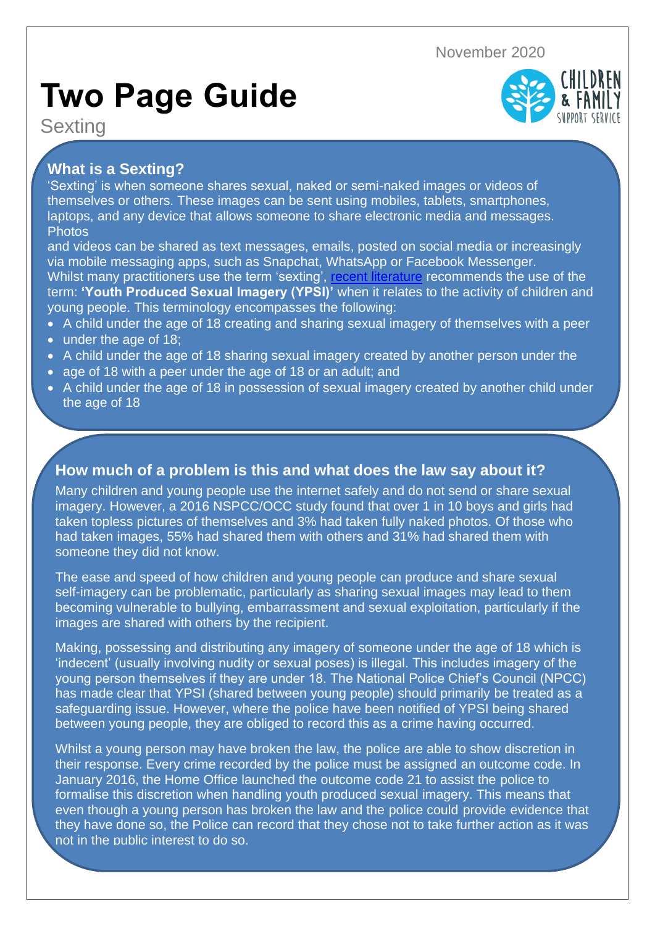November 2020

# **Two Page Guide**

**Sexting** 



# **What is a Sexting?**

'Sexting' is when someone shares sexual, naked or semi-naked images or videos of themselves or others. These images can be sent using mobiles, tablets, smartphones, laptops, and any device that allows someone to share electronic media and messages. **Photos** 

and videos can be shared as text messages, emails, posted on social media or increasingly via mobile messaging apps, such as Snapchat, WhatsApp or Facebook Messenger. Whilst many practitioners use the term 'sexting', [recent literature](https://www.gov.uk/government/publications/sexting-in-schools-and-colleges) recommends the use of the term: **'Youth Produced Sexual Imagery (YPSI)'** when it relates to the activity of children and young people. This terminology encompasses the following:

- A child under the age of 18 creating and sharing sexual imagery of themselves with a peer
- under the age of 18;

.

- A child under the age of 18 sharing sexual imagery created by another person under the
- age of 18 with a peer under the age of 18 or an adult; and
- A child under the age of 18 in possession of sexual imagery created by another child under the age of 18

## **How much of a problem is this and what does the law say about it?**

Many children and young people use the internet safely and do not send or share sexual imagery. However, a 2016 NSPCC/OCC study found that over 1 in 10 boys and girls had taken topless pictures of themselves and 3% had taken fully naked photos. Of those who had taken images, 55% had shared them with others and 31% had shared them with someone they did not know.

The ease and speed of how children and young people can produce and share sexual self-imagery can be problematic, particularly as sharing sexual images may lead to them becoming vulnerable to bullying, embarrassment and sexual exploitation, particularly if the images are shared with others by the recipient.

Making, possessing and distributing any imagery of someone under the age of 18 which is 'indecent' (usually involving nudity or sexual poses) is illegal. This includes imagery of the young person themselves if they are under 18. The National Police Chief's Council (NPCC) has made clear that YPSI (shared between young people) should primarily be treated as a safeguarding issue. However, where the police have been notified of YPSI being shared between young people, they are obliged to record this as a crime having occurred.

Whilst a young person may have broken the law, the police are able to show discretion in their response. Every crime recorded by the police must be assigned an outcome code. In January 2016, the Home Office launched the outcome code 21 to assist the police to formalise this discretion when handling youth produced sexual imagery. This means that even though a young person has broken the law and the police could provide evidence that they have done so, the Police can record that they chose not to take further action as it was not in the public interest to do so.